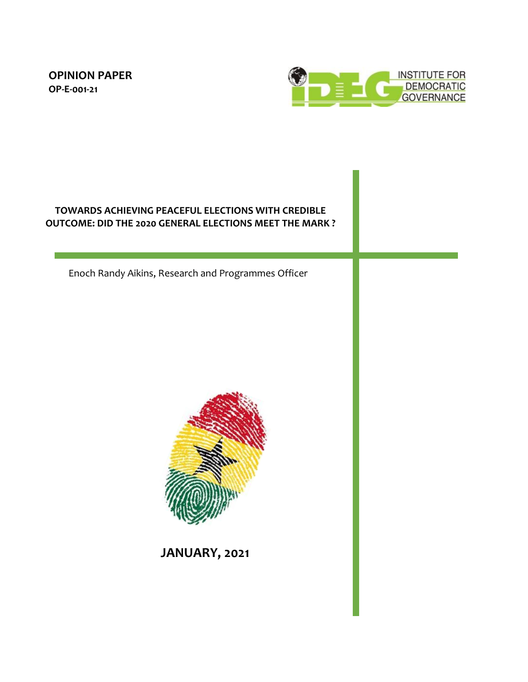**OPINION PAPER OP-E-001-21**



# **TOWARDS ACHIEVING PEACEFUL ELECTIONS WITH CREDIBLE OUTCOME: DID THE 2020 GENERAL ELECTIONS MEET THE MARK ?**

Enoch Randy Aikins, Research and Programmes Officer



**JANUARY, 2021**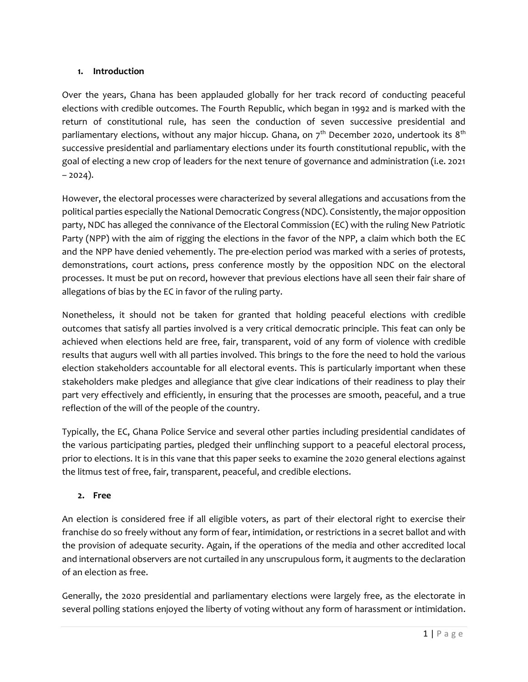### **1. Introduction**

Over the years, Ghana has been applauded globally for her track record of conducting peaceful elections with credible outcomes. The Fourth Republic, which began in 1992 and is marked with the return of constitutional rule, has seen the conduction of seven successive presidential and parliamentary elections, without any major hiccup. Ghana, on  $7<sup>th</sup>$  December 2020, undertook its  $8<sup>th</sup>$ successive presidential and parliamentary elections under its fourth constitutional republic, with the goal of electing a new crop of leaders for the next tenure of governance and administration (i.e. 2021  $-2024$ ).

However, the electoral processes were characterized by several allegations and accusations from the political parties especially the National Democratic Congress (NDC). Consistently, the major opposition party, NDC has alleged the connivance of the Electoral Commission (EC) with the ruling New Patriotic Party (NPP) with the aim of rigging the elections in the favor of the NPP, a claim which both the EC and the NPP have denied vehemently. The pre-election period was marked with a series of protests, demonstrations, court actions, press conference mostly by the opposition NDC on the electoral processes. It must be put on record, however that previous elections have all seen their fair share of allegations of bias by the EC in favor of the ruling party.

Nonetheless, it should not be taken for granted that holding peaceful elections with credible outcomes that satisfy all parties involved is a very critical democratic principle. This feat can only be achieved when elections held are free, fair, transparent, void of any form of violence with credible results that augurs well with all parties involved. This brings to the fore the need to hold the various election stakeholders accountable for all electoral events. This is particularly important when these stakeholders make pledges and allegiance that give clear indications of their readiness to play their part very effectively and efficiently, in ensuring that the processes are smooth, peaceful, and a true reflection of the will of the people of the country.

Typically, the EC, Ghana Police Service and several other parties including presidential candidates of the various participating parties, pledged their unflinching support to a peaceful electoral process, prior to elections. It is in this vane that this paper seeks to examine the 2020 general elections against the litmus test of free, fair, transparent, peaceful, and credible elections.

### **2. Free**

An election is considered free if all eligible voters, as part of their electoral right to exercise their franchise do so freely without any form of fear, intimidation, or restrictions in a secret ballot and with the provision of adequate security. Again, if the operations of the media and other accredited local and international observers are not curtailed in any unscrupulous form, it augments to the declaration of an election as free.

Generally, the 2020 presidential and parliamentary elections were largely free, as the electorate in several polling stations enjoyed the liberty of voting without any form of harassment or intimidation.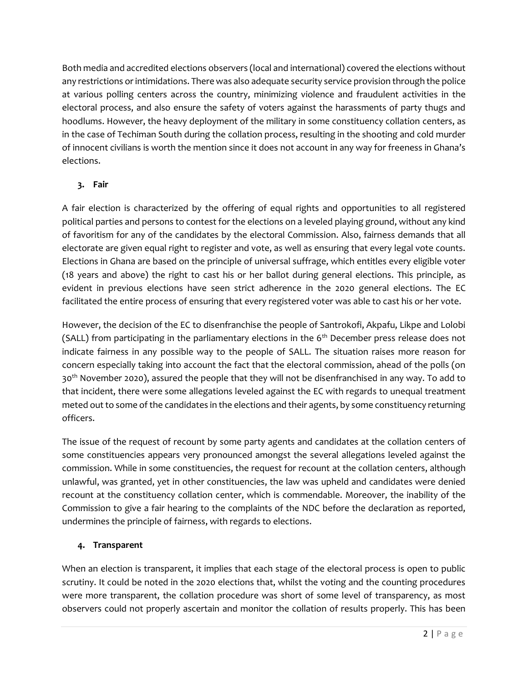Both media and accredited elections observers (local and international) covered the elections without any restrictions or intimidations. There was also adequate security service provision through the police at various polling centers across the country, minimizing violence and fraudulent activities in the electoral process, and also ensure the safety of voters against the harassments of party thugs and hoodlums. However, the heavy deployment of the military in some constituency collation centers, as in the case of Techiman South during the collation process, resulting in the shooting and cold murder of innocent civilians is worth the mention since it does not account in any way for freeness in Ghana's elections.

## **3. Fair**

A fair election is characterized by the offering of equal rights and opportunities to all registered political parties and persons to contest for the elections on a leveled playing ground, without any kind of favoritism for any of the candidates by the electoral Commission. Also, fairness demands that all electorate are given equal right to register and vote, as well as ensuring that every legal vote counts. Elections in Ghana are based on the principle of universal suffrage, which entitles every eligible voter (18 years and above) the right to cast his or her ballot during general elections. This principle, as evident in previous elections have seen strict adherence in the 2020 general elections. The EC facilitated the entire process of ensuring that every registered voter was able to cast his or her vote.

However, the decision of the EC to disenfranchise the people of Santrokofi, Akpafu, Likpe and Lolobi (SALL) from participating in the parliamentary elections in the  $6<sup>th</sup>$  December press release does not indicate fairness in any possible way to the people of SALL. The situation raises more reason for concern especially taking into account the fact that the electoral commission, ahead of the polls (on 30<sup>th</sup> November 2020), assured the people that they will not be disenfranchised in any way. To add to that incident, there were some allegations leveled against the EC with regards to unequal treatment meted out to some of the candidates in the elections and their agents, by some constituency returning officers.

The issue of the request of recount by some party agents and candidates at the collation centers of some constituencies appears very pronounced amongst the several allegations leveled against the commission. While in some constituencies, the request for recount at the collation centers, although unlawful, was granted, yet in other constituencies, the law was upheld and candidates were denied recount at the constituency collation center, which is commendable. Moreover, the inability of the Commission to give a fair hearing to the complaints of the NDC before the declaration as reported, undermines the principle of fairness, with regards to elections.

### **4. Transparent**

When an election is transparent, it implies that each stage of the electoral process is open to public scrutiny. It could be noted in the 2020 elections that, whilst the voting and the counting procedures were more transparent, the collation procedure was short of some level of transparency, as most observers could not properly ascertain and monitor the collation of results properly. This has been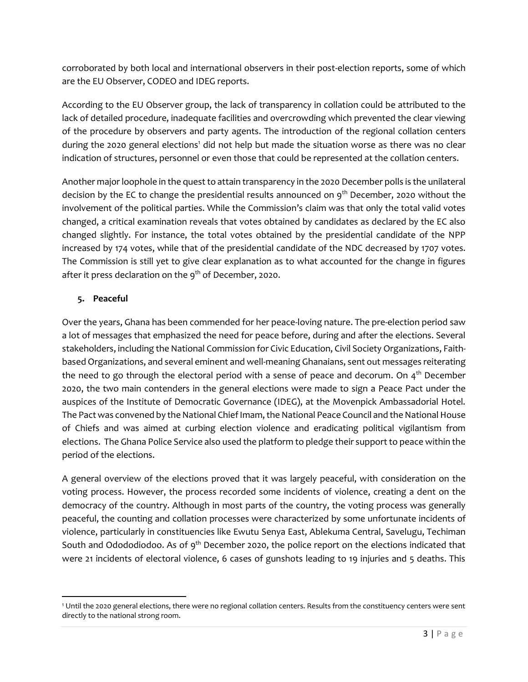corroborated by both local and international observers in their post-election reports, some of which are the EU Observer, CODEO and IDEG reports.

According to the EU Observer group, the lack of transparency in collation could be attributed to the lack of detailed procedure, inadequate facilities and overcrowding which prevented the clear viewing of the procedure by observers and party agents. The introduction of the regional collation centers during the 2020 general elections<sup>1</sup> did not help but made the situation worse as there was no clear indication of structures, personnel or even those that could be represented at the collation centers.

Another major loophole in the quest to attain transparency in the 2020 December polls is the unilateral decision by the EC to change the presidential results announced on  $9<sup>th</sup>$  December, 2020 without the involvement of the political parties. While the Commission's claim was that only the total valid votes changed, a critical examination reveals that votes obtained by candidates as declared by the EC also changed slightly. For instance, the total votes obtained by the presidential candidate of the NPP increased by 174 votes, while that of the presidential candidate of the NDC decreased by 1707 votes. The Commission is still yet to give clear explanation as to what accounted for the change in figures after it press declaration on the  $9<sup>th</sup>$  of December, 2020.

### **5. Peaceful**

Over the years, Ghana has been commended for her peace-loving nature. The pre-election period saw a lot of messages that emphasized the need for peace before, during and after the elections. Several stakeholders, including the National Commission for Civic Education, Civil Society Organizations, Faithbased Organizations, and several eminent and well-meaning Ghanaians, sent out messages reiterating the need to go through the electoral period with a sense of peace and decorum. On  $4<sup>th</sup>$  December 2020, the two main contenders in the general elections were made to sign a Peace Pact under the auspices of the Institute of Democratic Governance (IDEG), at the Movenpick Ambassadorial Hotel. The Pact was convened by the National Chief Imam, the National Peace Council and the National House of Chiefs and was aimed at curbing election violence and eradicating political vigilantism from elections. The Ghana Police Service also used the platform to pledge their support to peace within the period of the elections.

A general overview of the elections proved that it was largely peaceful, with consideration on the voting process. However, the process recorded some incidents of violence, creating a dent on the democracy of the country. Although in most parts of the country, the voting process was generally peaceful, the counting and collation processes were characterized by some unfortunate incidents of violence, particularly in constituencies like Ewutu Senya East, Ablekuma Central, Savelugu, Techiman South and Odododiodoo. As of 9<sup>th</sup> December 2020, the police report on the elections indicated that were 21 incidents of electoral violence, 6 cases of gunshots leading to 19 injuries and 5 deaths. This

<sup>1</sup> Until the 2020 general elections, there were no regional collation centers. Results from the constituency centers were sent directly to the national strong room.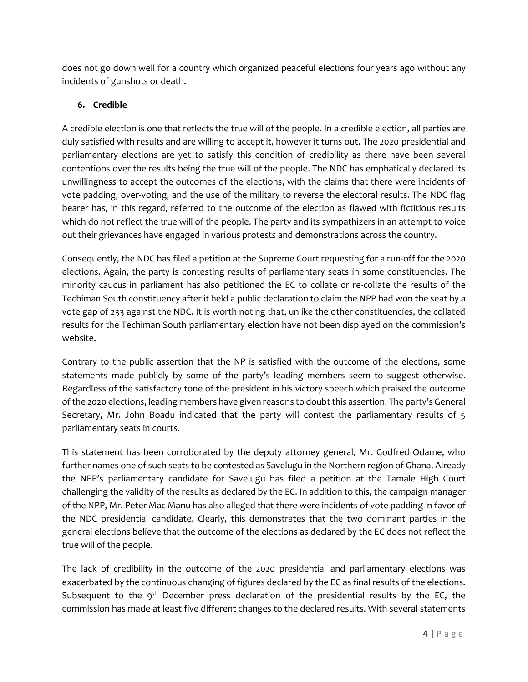does not go down well for a country which organized peaceful elections four years ago without any incidents of gunshots or death.

## **6. Credible**

A credible election is one that reflects the true will of the people. In a credible election, all parties are duly satisfied with results and are willing to accept it, however it turns out. The 2020 presidential and parliamentary elections are yet to satisfy this condition of credibility as there have been several contentions over the results being the true will of the people. The NDC has emphatically declared its unwillingness to accept the outcomes of the elections, with the claims that there were incidents of vote padding, over-voting, and the use of the military to reverse the electoral results. The NDC flag bearer has, in this regard, referred to the outcome of the election as flawed with fictitious results which do not reflect the true will of the people. The party and its sympathizers in an attempt to voice out their grievances have engaged in various protests and demonstrations across the country.

Consequently, the NDC has filed a petition at the Supreme Court requesting for a run-off for the 2020 elections. Again, the party is contesting results of parliamentary seats in some constituencies. The minority caucus in parliament has also petitioned the EC to collate or re-collate the results of the Techiman South constituency after it held a public declaration to claim the NPP had won the seat by a vote gap of 233 against the NDC. It is worth noting that, unlike the other constituencies, the collated results for the Techiman South parliamentary election have not been displayed on the commission's website.

Contrary to the public assertion that the NP is satisfied with the outcome of the elections, some statements made publicly by some of the party's leading members seem to suggest otherwise. Regardless of the satisfactory tone of the president in his victory speech which praised the outcome of the 2020 elections, leading members have given reasons to doubt this assertion. The party's General Secretary, Mr. John Boadu indicated that the party will contest the parliamentary results of 5 parliamentary seats in courts.

This statement has been corroborated by the deputy attorney general, Mr. Godfred Odame, who further names one of such seats to be contested as Savelugu in the Northern region of Ghana. Already the NPP's parliamentary candidate for Savelugu has filed a petition at the Tamale High Court challenging the validity of the results as declared by the EC. In addition to this, the campaign manager of the NPP, Mr. Peter Mac Manu has also alleged that there were incidents of vote padding in favor of the NDC presidential candidate. Clearly, this demonstrates that the two dominant parties in the general elections believe that the outcome of the elections as declared by the EC does not reflect the true will of the people.

The lack of credibility in the outcome of the 2020 presidential and parliamentary elections was exacerbated by the continuous changing of figures declared by the EC as final results of the elections. Subsequent to the  $9<sup>th</sup>$  December press declaration of the presidential results by the EC, the commission has made at least five different changes to the declared results. With several statements